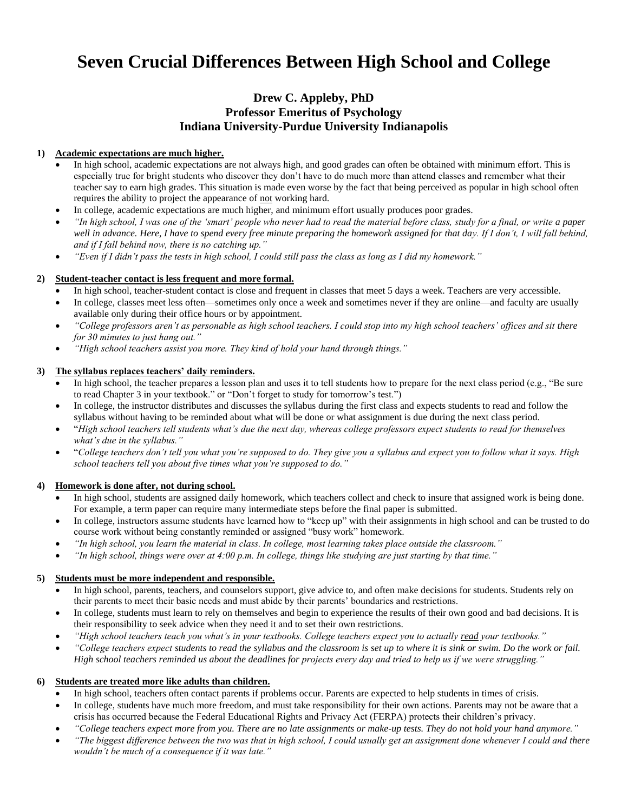# **Seven Crucial Differences Between High School and College**

## **Drew C. Appleby, PhD Professor Emeritus of Psychology Indiana University-Purdue University Indianapolis**

## **1) Academic expectations are much higher.**

- In high school, academic expectations are not always high, and good grades can often be obtained with minimum effort. This is especially true for bright students who discover they don't have to do much more than attend classes and remember what their teacher say to earn high grades. This situation is made even worse by the fact that being perceived as popular in high school often requires the ability to project the appearance of not working hard.
- In college, academic expectations are much higher, and minimum effort usually produces poor grades.
- *"In high school, I was one of the 'smart' people who never had to read the material before class, study for a final, or write a paper*  well in advance. Here, I have to spend every free minute preparing the homework assigned for that day. If I don't, I will fall behind, *and if I fall behind now, there is no catching up."*
- *"Even if I didn't pass the tests in high school, I could still pass the class as long as I did my homework."*

## **2) Student-teacher contact is less frequent and more formal.**

- In high school, teacher-student contact is close and frequent in classes that meet 5 days a week. Teachers are very accessible.
- In college, classes meet less often—sometimes only once a week and sometimes never if they are online—and faculty are usually available only during their office hours or by appointment.
- *"College professors aren't as personable as high school teachers. I could stop into my high school teachers' offices and sit there for 30 minutes to just hang out."*
- *"High school teachers assist you more. They kind of hold your hand through things."*

## **3) The syllabus replaces teachers' daily reminders.**

- In high school, the teacher prepares a lesson plan and uses it to tell students how to prepare for the next class period (e.g., "Be sure to read Chapter 3 in your textbook." or "Don't forget to study for tomorrow's test.")
- In college, the instructor distributes and discusses the syllabus during the first class and expects students to read and follow the syllabus without having to be reminded about what will be done or what assignment is due during the next class period.
- "*High school teachers tell students what's due the next day, whereas college professors expect students to read for themselves what's due in the syllabus."*
- "*College teachers don't tell you what you're supposed to do. They give you a syllabus and expect you to follow what it says. High school teachers tell you about five times what you're supposed to do."*

#### **4) Homework is done after, not during school.**

- In high school, students are assigned daily homework, which teachers collect and check to insure that assigned work is being done. For example, a term paper can require many intermediate steps before the final paper is submitted.
- In college, instructors assume students have learned how to "keep up" with their assignments in high school and can be trusted to do course work without being constantly reminded or assigned "busy work" homework.
- *"In high school, you learn the material in class. In college, most learning takes place outside the classroom."*
- *"In high school, things were over at 4:00 p.m. In college, things like studying are just starting by that time."*

## **5) Students must be more independent and responsible.**

- In high school, parents, teachers, and counselors support, give advice to, and often make decisions for students. Students rely on their parents to meet their basic needs and must abide by their parents' boundaries and restrictions.
- In college, students must learn to rely on themselves and begin to experience the results of their own good and bad decisions. It is their responsibility to seek advice when they need it and to set their own restrictions.
- *"High school teachers teach you what's in your textbooks. College teachers expect you to actually read your textbooks."*
- *"College teachers expect students to read the syllabus and the classroom is set up to where it is sink or swim. Do the work or fail. High school teachers reminded us about the deadlines for projects every day and tried to help us if we were struggling."*

## **6) Students are treated more like adults than children.**

- In high school, teachers often contact parents if problems occur. Parents are expected to help students in times of crisis.
- In college, students have much more freedom, and must take responsibility for their own actions. Parents may not be aware that a crisis has occurred because the Federal Educational Rights and Privacy Act (FERPA) protects their children's privacy.
- *"College teachers expect more from you. There are no late assignments or make-up tests. They do not hold your hand anymore."*
- *"The biggest difference between the two was that in high school, I could usually get an assignment done whenever I could and there wouldn't be much of a consequence if it was late."*